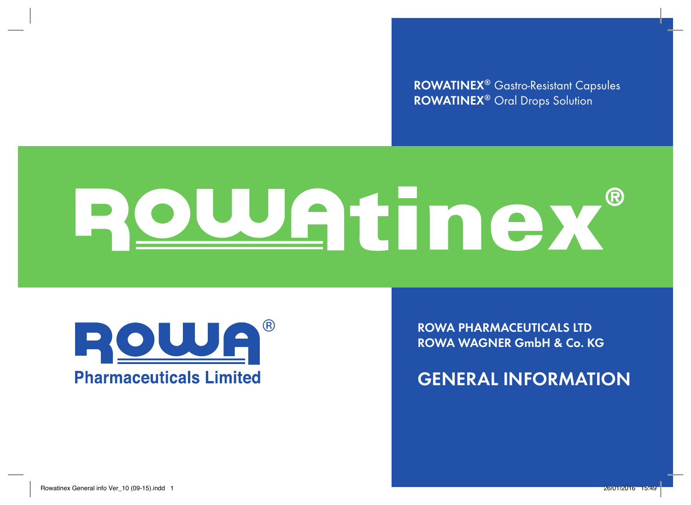**ROWATINEX®** Gastro-Resistant Capsules **ROWATINEX®** Oral Drops Solution

# Rowatinex ®

**ROWATINEX®** Gastro-Resistant Capsules Soft & Oral Drops Solution

ROWATINEX® provides a natural medical solution which dissolves both the URINARY STONES and the PAIN. More information available on request: ROWA Pharmaceuticals Ltd., Bantry, Co. Cork, P75 V009, Ireland.



**ROWA PHARMACEUTICALS LTD ROWA WAGNER GmbH & Co. KG**

**GENERAL INFORMATION**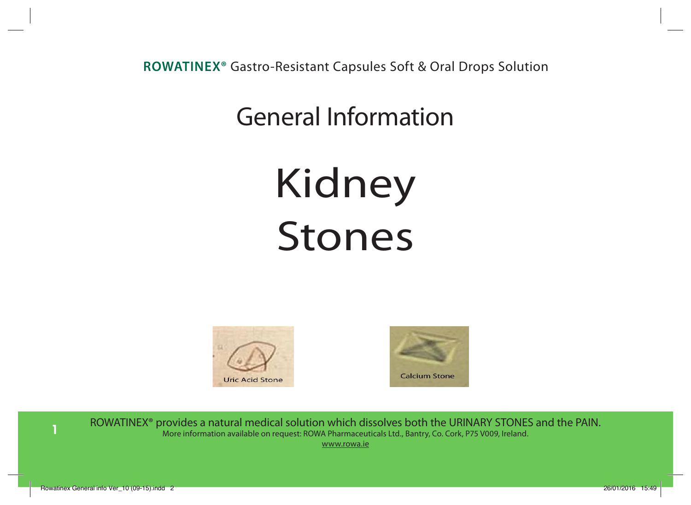# General Information General Information

# Kidney Stones STONES





ROWATINEX® provides a natural medical solution which dissolves both the URINARY STONES and the PAIN. **More information available on request: ROWA Pharmaceuticals Ltd., Bantry, Co. Cork, P75 V009, Ireland.** www.rowa.ie  $\mathcal{R}(\mathcal{R})$  pharmaceuticals Ltd., Bantry,  $\mathcal{R}(\mathcal{R})$  are  $\mathcal{R}(\mathcal{R})$  available on request. As a request on request. As a request of  $\mathcal{R}(\mathcal{R})$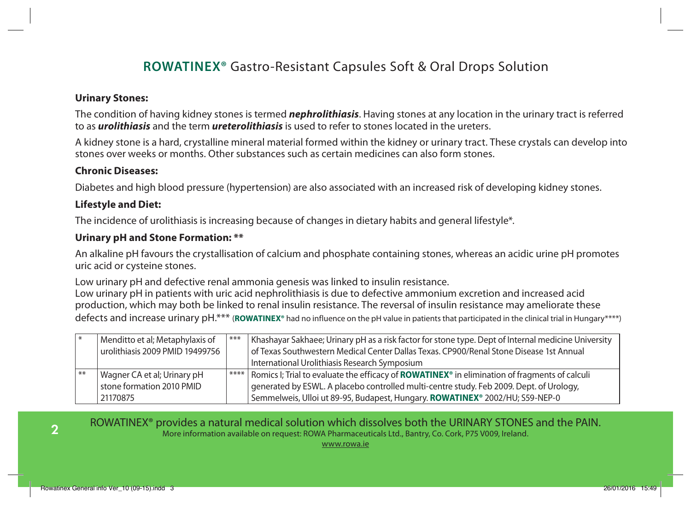#### **Urinary Stones:**

The condition of having kidney stones is termed *nephrolithiasis*. Having stones at any location in the urinary tract is referred to as *urolithiasis* and the term *ureterolithiasis* is used to refer to stones located in the ureters.

A kidney stone is a hard, crystalline mineral material formed within the kidney or urinary tract. These crystals can develop into stones over weeks or months. Other substances such as certain medicines can also form stones.

#### **Chronic Diseases:**

Diabetes and high blood pressure (hypertension) are also associated with an increased risk of developing kidney stones.

#### **Lifestyle and Diet:**

The incidence of urolithiasis is increasing because of changes in dietary habits and general lifestyle\*.

#### **Urinary pH and Stone Formation: \*\***

An alkaline pH favours the crystallisation of calcium and phosphate containing stones, whereas an acidic urine pH promotes uric acid or cysteine stones.

Low urinary pH and defective renal ammonia genesis was linked to insulin resistance. Low urinary pH in patients with uric acid nephrolithiasis is due to defective ammonium excretion and increased acid production, which may both be linked to renal insulin resistance. The reversal of insulin resistance may ameliorate these defects and increase urinary pH.\*\*\* (**ROWATINEX**<sup>®</sup> had no influence on the pH value in patients that participated in the clinical trial in Hungary\*\*\*\*)

|       | Menditto et al; Metaphylaxis of<br>urolithiasis 2009 PMID 19499756 | $***$ | Khashayar Sakhaee; Urinary pH as a risk factor for stone type. Dept of Internal medicine University<br>of Texas Southwestern Medical Center Dallas Texas. CP900/Renal Stone Disease 1st Annual<br>International Urolithiasis Research Symposium |
|-------|--------------------------------------------------------------------|-------|-------------------------------------------------------------------------------------------------------------------------------------------------------------------------------------------------------------------------------------------------|
| $***$ | Wagner CA et al; Urinary pH                                        |       | ****   Romics I; Trial to evaluate the efficacy of <b>ROWATINEX</b> <sup>®</sup> in elimination of fragments of calculi                                                                                                                         |
|       | stone formation 2010 PMID                                          |       | generated by ESWL. A placebo controlled multi-centre study. Feb 2009. Dept. of Urology,                                                                                                                                                         |
|       | 21170875                                                           |       | Semmelweis, Ulloi ut 89-95, Budapest, Hungary. ROWATINEX® 2002/HU; S59-NEP-0                                                                                                                                                                    |

ROWATINEX® provides a natural medical solution which dissolves both the URINARY STONES and the PAIN. More information available on request: ROWA Pharmaceuticals Ltd., Bantry, Co. Cork, P75 V009, Ireland.

www.rowa.ie

**2**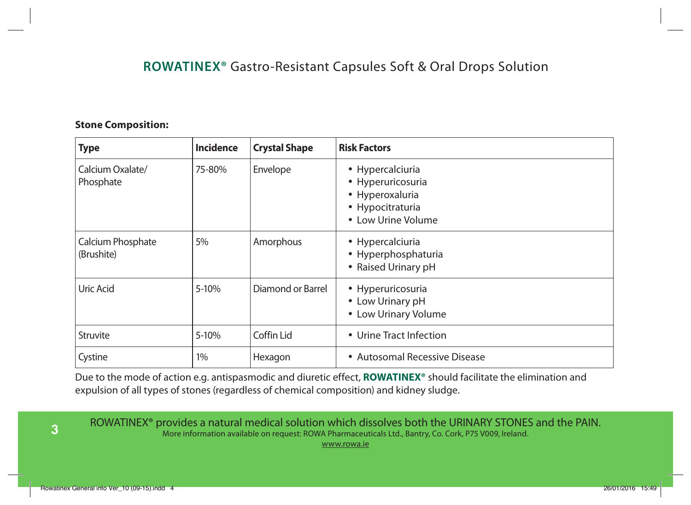#### **Stone Composition:**

| <b>Incidence</b><br><b>Crystal Shape</b><br><b>Type</b> |           |                   | <b>Risk Factors</b>                                                                                |  |  |  |  |  |  |
|---------------------------------------------------------|-----------|-------------------|----------------------------------------------------------------------------------------------------|--|--|--|--|--|--|
| Calcium Oxalate/<br>Phosphate                           | 75-80%    | Envelope          | • Hypercalciuria<br>• Hyperuricosuria<br>• Hyperoxaluria<br>• Hypocitraturia<br>• Low Urine Volume |  |  |  |  |  |  |
| Calcium Phosphate<br>(Brushite)                         | 5%        | Amorphous         | • Hypercalciuria<br>• Hyperphosphaturia<br>• Raised Urinary pH                                     |  |  |  |  |  |  |
| Uric Acid                                               | 5-10%     | Diamond or Barrel | • Hyperuricosuria<br>• Low Urinary pH<br>• Low Urinary Volume                                      |  |  |  |  |  |  |
| Struvite                                                | $5 - 10%$ | Coffin Lid        | • Urine Tract Infection                                                                            |  |  |  |  |  |  |
| Cystine                                                 | $1\%$     | Hexagon           | • Autosomal Recessive Disease                                                                      |  |  |  |  |  |  |

Due to the mode of action e.g. antispasmodic and diuretic effect, **ROWATINEX®** should facilitate the elimination and expulsion of all types of stones (regardless of chemical composition) and kidney sludge.

**3**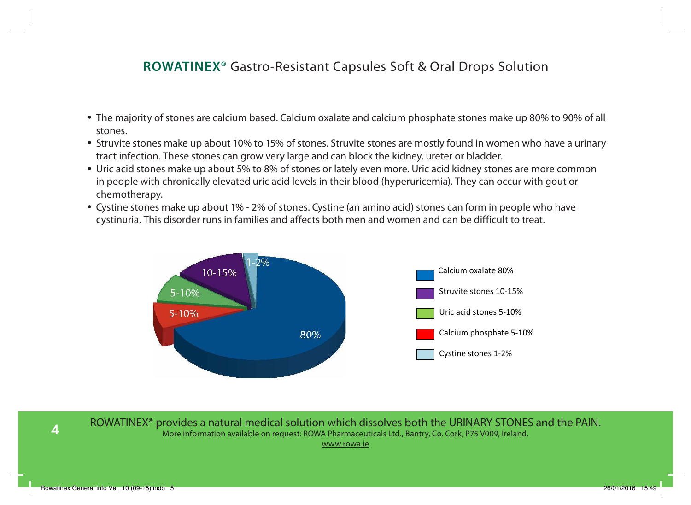- The majority of stones are calcium based. Calcium oxalate and calcium phosphate stones make up 80% to 90% of all stones.
- Struvite stones make up about 10% to 15% of stones. Struvite stones are mostly found in women who have a urinary tract infection. These stones can grow very large and can block the kidney, ureter or bladder.
- Of Uric acid stones make up about 5% to 8% of stones or lately even more. Uric acid kidney stones are more common و Or in people with chronically elevated uric acid levels in their blood (hyperuricemia). They can occur with gout or<br>chemotherapy.
- enemotherapy.<br>• Cystine stones make up about 1% 2% of stones. Cystine (an amino acid) stones can form in people who have cystinuria. This disorder runs in families and affects both men and women and can be difficult to treat. This disorder runs in families. It affects both men and women and can be difficult to treat.



ROWATINEX® provides a natural medical solution which dissolves both the URINARY STONES and the PAIN. More information available on request: ROWA Pharmaceuticals Ltd., Bantry, Co. Cork, P75 V009, Ireland. www.rowa.ie **<u>ROWATINEX</u> ROWATING** a natural medical solution that dissolves both the URINARY STONE and the PAIN.

**4**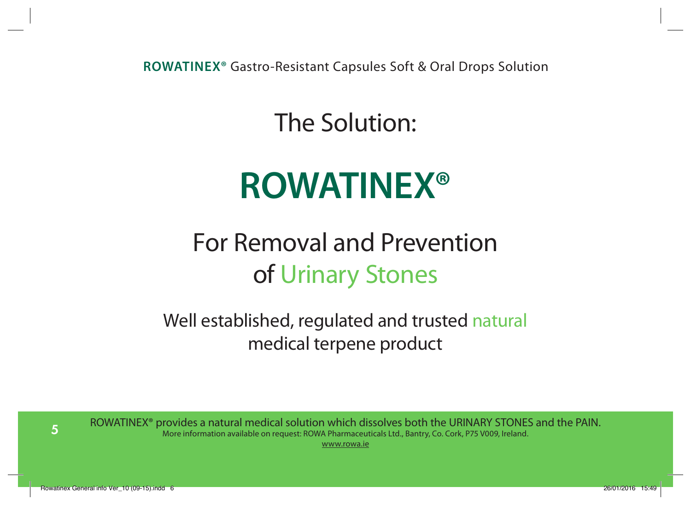The Solution:

# **ROWATINEX®**

# For Removal and Prevention of Urinary Stones

Well established, regulated and trusted natural medical terpene product

**5**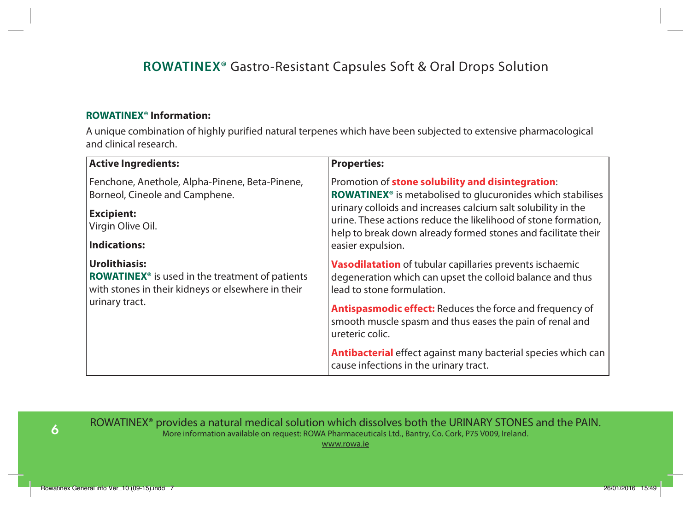#### **ROWATINEX® Information:**

A unique combination of highly purified natural terpenes which have been subjected to extensive pharmacological and clinical research.

| <b>Active Ingredients:</b>                                                                                                         | <b>Properties:</b>                                                                                                                                                                               |  |  |  |  |  |  |
|------------------------------------------------------------------------------------------------------------------------------------|--------------------------------------------------------------------------------------------------------------------------------------------------------------------------------------------------|--|--|--|--|--|--|
| Fenchone, Anethole, Alpha-Pinene, Beta-Pinene,<br>Borneol, Cineole and Camphene.                                                   | Promotion of stone solubility and disintegration:<br><b>ROWATINEX<sup>®</sup></b> is metabolised to glucuronides which stabilises                                                                |  |  |  |  |  |  |
| <b>Excipient:</b><br>Virgin Olive Oil.                                                                                             | urinary colloids and increases calcium salt solubility in the<br>urine. These actions reduce the likelihood of stone formation,<br>help to break down already formed stones and facilitate their |  |  |  |  |  |  |
| <b>Indications:</b>                                                                                                                | easier expulsion.                                                                                                                                                                                |  |  |  |  |  |  |
| Urolithiasis:<br>ROWATINEX <sup>®</sup> is used in the treatment of patients<br>with stones in their kidneys or elsewhere in their | Vasodilatation of tubular capillaries prevents ischaemic<br>degeneration which can upset the colloid balance and thus<br>lead to stone formulation.                                              |  |  |  |  |  |  |
| urinary tract.                                                                                                                     | <b>Antispasmodic effect:</b> Reduces the force and frequency of<br>smooth muscle spasm and thus eases the pain of renal and<br>ureteric colic.                                                   |  |  |  |  |  |  |
|                                                                                                                                    | Antibacterial effect against many bacterial species which can<br>cause infections in the urinary tract.                                                                                          |  |  |  |  |  |  |

**6**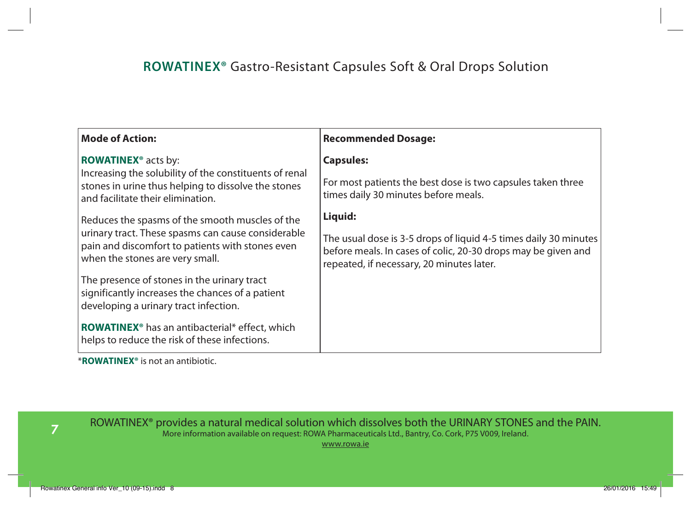| <b>Mode of Action:</b>                                                                                                                             | <b>Recommended Dosage:</b>                                                                                                                                                     |  |  |  |  |
|----------------------------------------------------------------------------------------------------------------------------------------------------|--------------------------------------------------------------------------------------------------------------------------------------------------------------------------------|--|--|--|--|
| ROWATINEX <sup>®</sup> acts by:                                                                                                                    | <b>Capsules:</b>                                                                                                                                                               |  |  |  |  |
| Increasing the solubility of the constituents of renal<br>stones in urine thus helping to dissolve the stones<br>and facilitate their elimination. | For most patients the best dose is two capsules taken three<br>times daily 30 minutes before meals.                                                                            |  |  |  |  |
| Reduces the spasms of the smooth muscles of the                                                                                                    | Liquid:                                                                                                                                                                        |  |  |  |  |
| urinary tract. These spasms can cause considerable<br>pain and discomfort to patients with stones even<br>when the stones are very small.          | The usual dose is 3-5 drops of liquid 4-5 times daily 30 minutes<br>before meals. In cases of colic, 20-30 drops may be given and<br>repeated, if necessary, 20 minutes later. |  |  |  |  |
| The presence of stones in the urinary tract<br>significantly increases the chances of a patient<br>developing a urinary tract infection.           |                                                                                                                                                                                |  |  |  |  |
| <b>ROWATINEX<sup>®</sup></b> has an antibacterial* effect, which<br>helps to reduce the risk of these infections.                                  |                                                                                                                                                                                |  |  |  |  |

\***ROWATINEX®** is not an antibiotic.

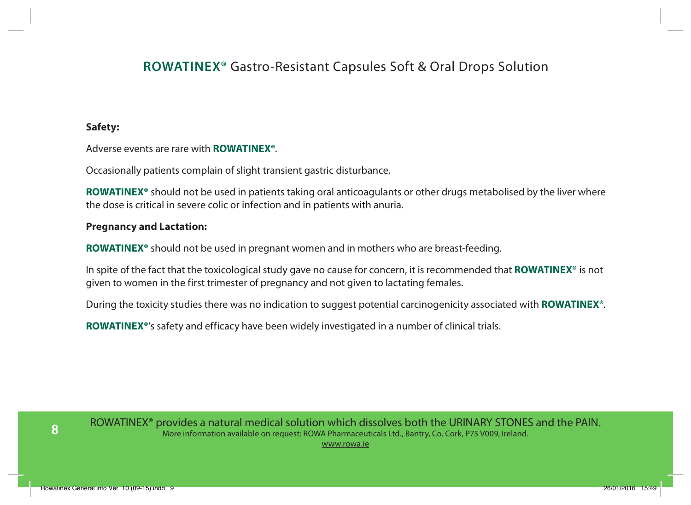#### **Safety:**

Adverse events are rare with **ROWATINEX®**.

Occasionally patients complain of slight transient gastric disturbance.

**ROWATINEX®** should not be used in patients taking oral anticoagulants or other drugs metabolised by the liver where the dose is critical in severe colic or infection and in patients with anuria.

#### **Pregnancy and Lactation:**

**ROWATINEX®** should not be used in pregnant women and in mothers who are breast-feeding.

In spite of the fact that the toxicological study gave no cause for concern, it is recommended that **ROWATINEX®** is not given to women in the first trimester of pregnancy and not given to lactating females.

During the toxicity studies there was no indication to suggest potential carcinogenicity associated with **ROWATINEX®**.

**ROWATINEX®**'s safety and efficacy have been widely investigated in a number of clinical trials.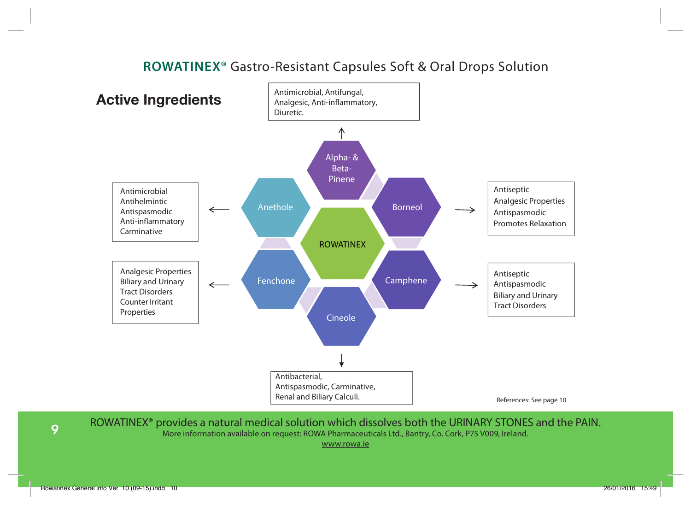

ROWATINEX® provides a natural medical solution which dissolves both the URINARY STONES and the PAIN. More information available on request: ROWA Pharmaceuticals Ltd., Bantry, Co. Cork, P75 V009, Ireland.

www.rowa.ie

**9**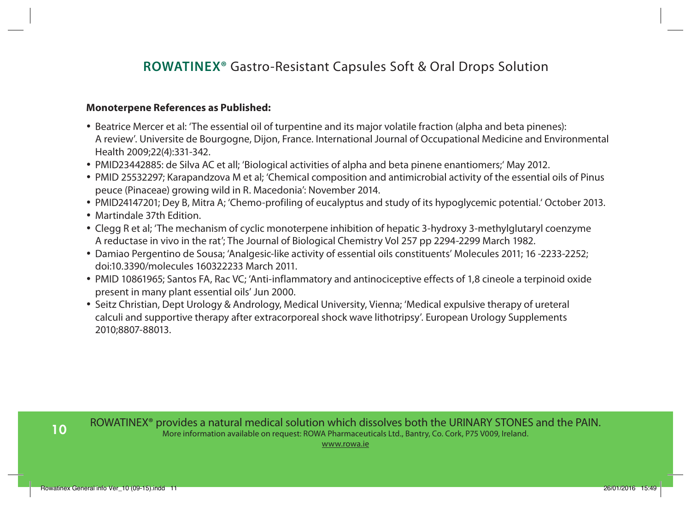#### **Monoterpene References as Published:**

- Beatrice Mercer et al: 'The essential oil of turpentine and its major volatile fraction (alpha and beta pinenes): A review'. Universite de Bourgogne, Dijon, France. International Journal of Occupational Medicine and Environmental Health 2009;22(4):331-342.
- PMID23442885: de Silva AC et all; 'Biological activities of alpha and beta pinene enantiomers;' May 2012.
- PMID 25532297; Karapandzova M et al; 'Chemical composition and antimicrobial activity of the essential oils of Pinus peuce (Pinaceae) growing wild in R. Macedonia': November 2014.
- PMID24147201; Dey B, Mitra A; 'Chemo-profiling of eucalyptus and study of its hypoglycemic potential.' October 2013.
- Martindale 37th Edition.
- Clegg R et al; 'The mechanism of cyclic monoterpene inhibition of hepatic 3-hydroxy 3-methylglutaryl coenzyme A reductase in vivo in the rat'; The Journal of Biological Chemistry Vol 257 pp 2294-2299 March 1982.
- Damiao Pergentino de Sousa; 'Analgesic-like activity of essential oils constituents' Molecules 2011; 16 -2233-2252; doi:10.3390/molecules 160322233 March 2011.
- PMID 10861965; Santos FA, Rac VC; 'Anti-inflammatory and antinociceptive effects of 1,8 cineole a terpinoid oxide present in many plant essential oils' Jun 2000.
- Seitz Christian, Dept Urology & Andrology, Medical University, Vienna; 'Medical expulsive therapy of ureteral calculi and supportive therapy after extracorporeal shock wave lithotripsy'. European Urology Supplements 2010;8807-88013.

**10**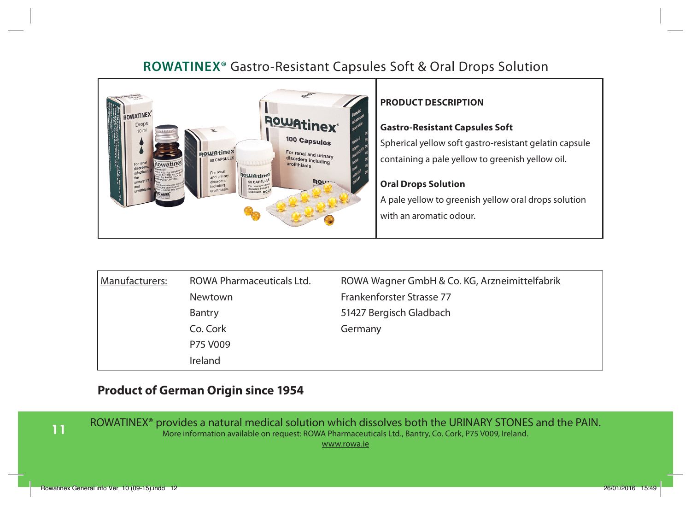

#### **PRODUCT DESCRIPTION**

#### **Gastro-Resistant Capsules Soft**

Spherical yellow soft gastro-resistant gelatin capsule containing a pale yellow to greenish yellow oil.

#### **Oral Drops Solution**

A pale yellow to greenish yellow oral drops solution with an aromatic odour.

| Manufacturers: | ROWA Pharmaceuticals Ltd. | ROWA Wagner GmbH & Co. KG, Arzneimittelfabrik |
|----------------|---------------------------|-----------------------------------------------|
|                | Newtown                   | Frankenforster Strasse 77                     |
|                | Bantry                    | 51427 Bergisch Gladbach                       |
|                | Co. Cork                  | Germany                                       |
|                | P75 V009                  |                                               |
|                | Ireland                   |                                               |

#### **Product of German Origin since 1954**

**11**